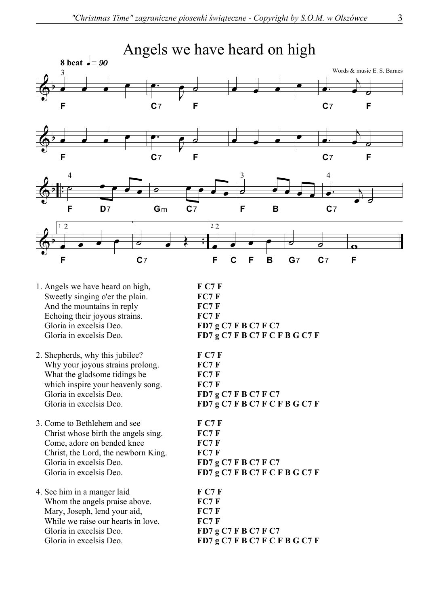

1. Angels we have heard on high, Sweetly singing o'er the plain. And the mountains in reply Echoing their joyous strains. Gloria in excelsis Deo. Gloria in excelsis Deo.

 $\overline{a}$ 

- 2. Shepherds, why this jubilee? Why your joyous strains prolong. What the gladsome tidings be which inspire your heavenly song. Gloria in excelsis Deo. Gloria in excelsis Deo.
- 3. Come to Bethlehem and see Christ whose birth the angels sing. Come, adore on bended knee Christ, the Lord, the newborn King. Gloria in excelsis Deo. Gloria in excelsis Deo.

4. See him in a manger laid Whom the angels praise above. Mary, Joseph, lend your aid, While we raise our hearts in love. Gloria in excelsis Deo. Gloria in excelsis Deo.

F C7 F FC7 F FC7 F FC7 F FD7 g C7 F B C7 F C7 FD7 g C7 F B C7 F C F B G C7 F

F C7 F FC7 F FC7 F FC7 F FD7 g C7 F B C7 F C7 FD7 g C7 F B C7 F C F B G C7 F

F C7 F FC7 F FC7 F FC7 F FD7 g C7 F B C7 F C7 FD7 g C7 F B C7 F C F B G C7 F F C7 F

FC7 F FC7 F FC7 F FD7 g C7 F B C7 F C7 FD7 g C7 F B C7 F C F B G C7 F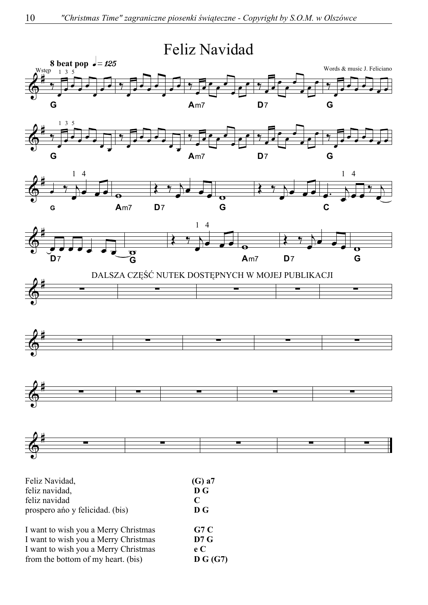10



| $(G)$ a7    |
|-------------|
| D G         |
| $\mathbf C$ |
| D G         |
| G7C         |
| D7G         |
| eC          |
| D G(G7)     |
|             |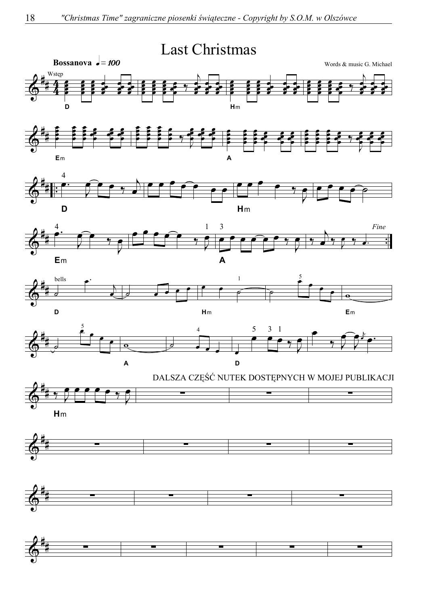



18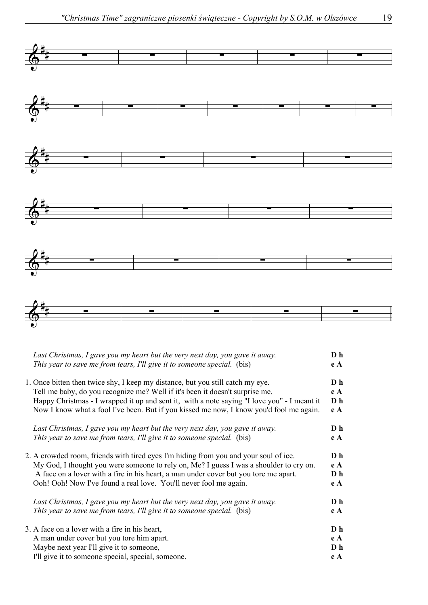$\overline{a}$ 



| Last Christmas, I gave you my heart but the very next day, you gave it away.<br>This year to save me from tears, I'll give it to someone special. (bis) | D h<br>e A |
|---------------------------------------------------------------------------------------------------------------------------------------------------------|------------|
| 1. Once bitten then twice shy, I keep my distance, but you still catch my eye.                                                                          | $D$ $h$    |
| Tell me baby, do you recognize me? Well if it's been it doesn't surprise me.                                                                            | e A        |
| Happy Christmas - I wrapped it up and sent it, with a note saying "I love you" - I meant it                                                             | D h        |
| Now I know what a fool I've been. But if you kissed me now, I know you'd fool me again.                                                                 | e A        |
| Last Christmas, I gave you my heart but the very next day, you gave it away.                                                                            | D h        |
| This year to save me from tears, I'll give it to someone special. (bis)                                                                                 | e A        |
| 2. A crowded room, friends with tired eyes I'm hiding from you and your soul of ice.                                                                    | $D$ $h$    |
| My God, I thought you were someone to rely on, Me? I guess I was a shoulder to cry on.                                                                  | e A        |
| A face on a lover with a fire in his heart, a man under cover but you tore me apart.                                                                    | $D$ h      |
| Ooh! Ooh! Now I've found a real love. You'll never fool me again.                                                                                       | e A        |
| Last Christmas, I gave you my heart but the very next day, you gave it away.                                                                            | D h        |
| This year to save me from tears, I'll give it to someone special. (bis)                                                                                 | e A        |
| 3. A face on a lover with a fire in his heart,                                                                                                          | $D$ $h$    |
| A man under cover but you tore him apart.                                                                                                               | e A        |
| Maybe next year I'll give it to someone,                                                                                                                | D h        |
| I'll give it to someone special, special, someone.                                                                                                      | e A        |
|                                                                                                                                                         |            |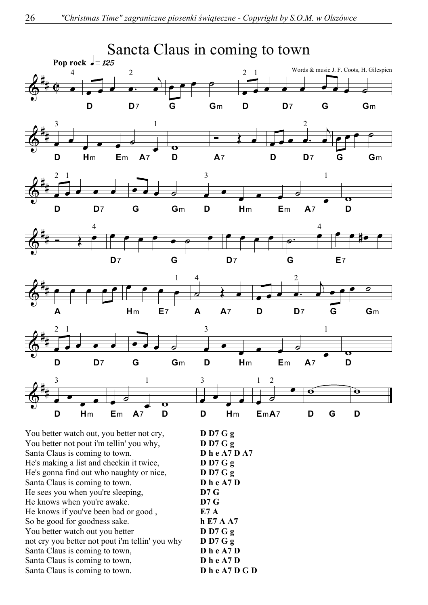